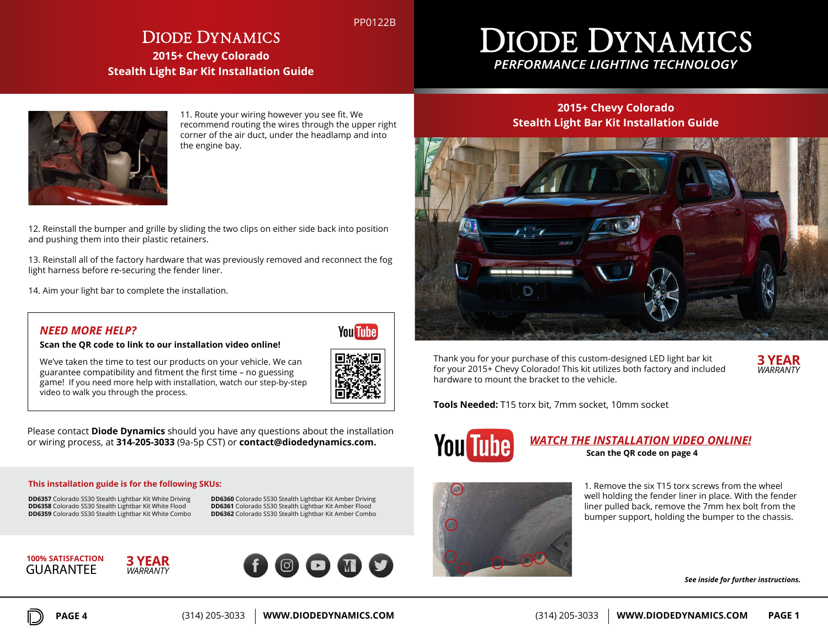PP0122B

# **DIODE DYNAMICS 2015+ Chevy Colorado Stealth Light Bar Kit Installation Guide**

# **DIODE DYNAMICS** PERFORMANCE LIGHTING TECHNOLOGY



11. Route your wiring however you see fit. We recommend routing the wires through the upper right corner of the air duct, under the headlamp and into the engine bay.

12. Reinstall the bumper and grille by sliding the two clips on either side back into position and pushing them into their plastic retainers.

13. Reinstall all of the factory hardware that was previously removed and reconnect the fog light harness before re-securing the fender liner.

14. Aim your light bar to complete the installation.

## *NEED MORE HELP?*

**Scan the QR code to link to our installation video online!**

We've taken the time to test our products on your vehicle. We can guarantee compatibility and fitment the first time – no guessing game! If you need more help with installation, watch our step-by-step video to walk you through the process.



**You Tube** 

Please contact **Diode Dynamics** should you have any questions about the installation or wiring process, at **314-205-3033** (9a-5p CST) or **contact@diodedynamics.com.**

#### **This installation guide is for the following SKUs:**

**DD6357** Colorado SS30 Stealth Lightbar Kit White Driving **DD6358** Colorado SS30 Stealth Lightbar Kit White Flood **DD6359** Colorado SS30 Stealth Lightbar Kit White Combo **DD6360** Colorado SS30 Stealth Lightbar Kit Amber Driving **DD6361** Colorado SS30 Stealth Lightbar Kit Amber Flood **DD6362** Colorado SS30 Stealth Lightbar Kit Amber Combo





# **Stealth Light Bar Kit Installation Guide**

**2015+ Chevy Colorado**



Thank you for your purchase of this custom-designed LED light bar kit for your 2015+ Chevy Colorado! This kit utilizes both factory and included hardware to mount the bracket to the vehicle.



**Tools Needed:** T15 torx bit, 7mm socket, 10mm socket



### *WATCH THE INSTALLATION VIDEO ONLINE!* **Scan the QR code on page 4**



1. Remove the six T15 torx screws from the wheel well holding the fender liner in place. With the fender liner pulled back, remove the 7mm hex bolt from the bumper support, holding the bumper to the chassis.

*See inside for further instructions.*